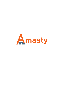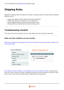# **Shipping Rules**

Manage live shipping rates according to your needs: surcharge, deduct or override rates, provided by different carriers.

- Create rules based on order, product and customer attributes
- Modify rates either for the whole cart or for single items
- Set up shipping based on customer groups and store views
- Change delivery prices both by flat amount and by percent

## **Troubleshooting checklist**

If the rule you've just set up doesn't seem to work please check the information below first.

#### **Make sure that conditions are set correctly**

[Oftentimes it happens that shipping rules don't work because of incorrectly specified conditions. See](https://amasty.com/docs/lib/exe/fetch.php?media=magento_1:shipping_rules:trouble-1.png) [the example below](https://amasty.com/docs/lib/exe/fetch.php?media=magento_1:shipping_rules:trouble-1.png)



The problem with these conditions is that Magento tries to find a product with SKU "sku1, sku2, sku3" in the cart, which is wrong. Of course, we wanted it to look for one of the products from the list: sku1, sku2 or sku3. This is how rule should've been configured for this requirement

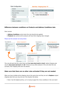| <b>Rule Configuration</b> | Edit Rule `Shipping Rule TX`                    |
|---------------------------|-------------------------------------------------|
| General                   |                                                 |
| Stores & Customer Groups  | Select products or leave blank for all products |
| Days and Time             | If ALL of these conditions are TRUE :           |
| Coupons                   | SKU is one of sku1, sku2, sku3                  |
| <b>Products</b><br>H      |                                                 |
| Rates                     |                                                 |
| <b>Address Conditions</b> |                                                 |
|                           |                                                 |

#### <span id="page-2-0"></span>**Difference between conditions on Products and Address Conditions tabs**

Short version:

- **Address Conditions** control when the rule should be be applied.
- **Products** tab controls which products will have their shipping rates changed.

#### [Please see the example rule setup below](https://amasty.com/docs/lib/exe/fetch.php?media=magento_1:shipping_rules:trouble-3.png)

| <b>Rule Configuration</b>           |   | Edit Rule `Shipping Rule TX`                    |                                    | <b>Rule Configuration</b>           |   | Edit Rule `Shipping Rule TX`                    |
|-------------------------------------|---|-------------------------------------------------|------------------------------------|-------------------------------------|---|-------------------------------------------------|
| General                             |   |                                                 |                                    | General                             |   |                                                 |
| <b>Stores &amp; Customer Groups</b> |   | Select products or leave blank for all products |                                    | <b>Stores &amp; Customer Groups</b> |   | Apply the rule only if the following conditions |
| Days and Time                       |   | If ALL of these conditions are TRUE :           |                                    | Days and Time                       |   | If ALL of these conditions are TRUE :           |
| Coupons                             |   | SKU is one of sku1, sku2, sku3                  |                                    | Coupons                             |   | If total quantity equals or greater than 5      |
| <b>Products</b>                     | H | ⊕                                               |                                    | Products                            | 日 | SKU is one of sku1, sku2, sku3                  |
| Rates                               | 圄 |                                                 |                                    | Rates                               | 日 | G                                               |
| <b>Address Conditions</b>           | ⊟ |                                                 |                                    | <b>Address Conditions</b>           | 昌 | Œ                                               |
|                                     |   | <b>Rule Configuration</b>                       | Edit Rule `Shipping Rule TX`       |                                     |   |                                                 |
|                                     |   |                                                 |                                    |                                     |   |                                                 |
|                                     |   | General                                         |                                    |                                     |   |                                                 |
|                                     |   | <b>Stores &amp; Customer Groups</b>             | <b>Rates</b>                       |                                     |   |                                                 |
|                                     |   | Davs and Time                                   | Calculation                        | Replace                             |   | $\checkmark$                                    |
|                                     |   | Coupons                                         |                                    |                                     |   |                                                 |
|                                     |   | Products                                        | Base Rate for the Order            | 0.00                                |   |                                                 |
|                                     |   | <b>Rates</b>                                    | <b>Fixed Rate per Product</b><br>H | 0.00                                |   |                                                 |

This rule will work like this: when there are **5 or more sku1,sku2 or sku3**, replace shipping rate only for **sku1,sku2 and sku3** with **\$0**. If there are any other products in the cart when the rule activates, their shipping rates won't be altered.

#### **Make sure that there are no other rules activated if they are not needed**

When you have multiple active shipping rules at the same time and they are set to **Replace** original shipping rates then you may end up in the situation like below:

• Rule 1 has the highest priority, so it is trying to apply first. Since conditions in the rule match

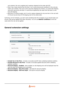cart contents, the rule is applied and it replaces shipping for the order with \$20

- Rule 2 has a lower priority than the Rule 1 so it comes second and conditions in this rule also match cart contents. This rule is set to give free shipping for all items, so current \$20 shipping rate which was set by the Rule 1 is now will be replaced by the rates from the Rule 2 so we have \$0 shipping.
- Now Rule 3 is trying to apply, but it is set to replace shipping for only one item in the cart with \$7.50 and now we have \$7.50 shipping rate for the whole order.

Confusing, isn't it? Certainly, you don't want something like this to happen so you should make sure all your rules will be applied only when necessary. You can use **Address Conditions** to limit the cases when the rule can be applied.

## **General extension settings**

| <b>Price and tax settings</b>                             |                                                                  |  |
|-----------------------------------------------------------|------------------------------------------------------------------|--|
| Include Tax in the Price<br>Include Discount in the Price | No<br>$\checkmark$<br>No<br>$\checkmark$                         |  |
| <b>Discount Display</b>                                   |                                                                  |  |
| Enabled                                                   | Yes<br>$\checkmark$<br>▲ Show both old and new rates             |  |
| New Price Style                                           | color:red                                                        |  |
|                                                           | ▲ For example: "color:red" without quotes.                       |  |
| Old Price Style                                           | text-decoration:line-through                                     |  |
|                                                           | ▲ For example: "text-decoration:line-through" without<br>quotes. |  |

- **Include Tax in the Price** includes or excludes tax\VAT when validating Subtotal condition.
- **Include Discount in the Price** includes or excludes applied discounts when validating Subtotal condition.
- **Discount Display Enabled** when enabled, an old shipping price will be displayed near the new one when the shipping rule is activated.
- **Discount Display New Price Style** CSS style for new price display.
- **Discount Display Old Price Style** CSS style for old price display.

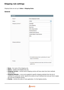## **Shipping rule settings**

Shipping Rules are set up in **Sales > Shipping Rules**

#### **General**

| <b>General</b>      |                                                                                                         |              |
|---------------------|---------------------------------------------------------------------------------------------------------|--------------|
| Name*               | Free shipping for shirts                                                                                |              |
| <b>Status</b>       | Active                                                                                                  | $\checkmark$ |
| Shipping Carriers * | <b>Flat Rate</b>                                                                                        | ۸            |
|                     | <b>Free Shipping</b>                                                                                    |              |
|                     | Best Way                                                                                                |              |
|                     | DHL (Deprecated)                                                                                        |              |
|                     | <b>Federal Express</b>                                                                                  |              |
|                     | <b>United Parcel Service</b>                                                                            |              |
|                     | United States Postal Service                                                                            |              |
|                     | <b>DHL</b>                                                                                              |              |
|                     |                                                                                                         |              |
| Shipping Methods    |                                                                                                         |              |
|                     | A One method name per line, e.g Next Day Air. Leave                                                     | d.           |
| Priority            | empty for all methods.<br>A If a product matches several rules, the first rule will be<br>applied only. |              |

- **Name** the name of the shipping rule.
- **Status** enables and disables the rule.
- **Shipping Carriers** controls which shipping carriers will have rates from their methods recalculated.
- **Shipping Methods** a rule can be applied to specific shipping methods from the list of methods of a particular carrier. Specify the names of such methods here (one per line) to apply the rule only to defined carriers.
- **Priority** controls the order of rules application. 0 is the highest priority.

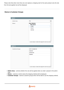Please note that when more than one rule replaces a shipping rate for the same product only the rate from the last applied rule will be displayed.

### **Stores & Customer Groups**

| <b>Apply In</b>        |                                                            |
|------------------------|------------------------------------------------------------|
| Admin Area             | No<br>$\checkmark$                                         |
| <b>Stores</b>          | <b>Main Website</b><br>۸<br><b>Main Store</b>              |
|                        | English                                                    |
|                        | French                                                     |
|                        | German                                                     |
| <b>Apply For</b>       | A Leave empty or select all to apply the rule to any store |
| <b>Customer Groups</b> | NOT LOGGED IN<br>۸                                         |
|                        | General                                                    |
|                        | Wholesale                                                  |
|                        | Retailer                                                   |
|                        | A Leave empty or select all to apply the rule to any group |

- **Admin Area** controls whether the rule will be applied when an order is placed in the admin area.
- **Stores** controls on which stores the shipping method will be displayed.
- **Customer Groups** restricts customer groups which will be able to use the shipping method.

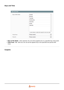## **Days and Time**

| <b>Days and Time</b> |                                                         |                 |
|----------------------|---------------------------------------------------------|-----------------|
| Days of the Week     | Sunday                                                  | $\mathcal{O}_2$ |
|                      | Monday                                                  |                 |
|                      | Tuesday                                                 |                 |
|                      | Wednesday                                               |                 |
|                      | Thursday                                                |                 |
|                      | Friday                                                  |                 |
|                      | Saturday                                                |                 |
|                      | A Leave empty or select all to apply the rule every day |                 |
| Time From:           | Please select                                           | $\checkmark$    |
| Time To:             | Please select                                           | $\checkmark$    |

- **Days of the Week** when selected, the rule will be applied only to a specified day of the week.
- Time From To when set, the rule will be applied only to the specified time period (PHP time).

#### **Coupons**

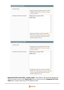| <b>Apply Restrictions Only With</b>   |                                                                                                                                                                                                                                                 |  |
|---------------------------------------|-------------------------------------------------------------------------------------------------------------------------------------------------------------------------------------------------------------------------------------------------|--|
| <b>Coupon Codes</b>                   | A Apply this rule with provided coupons only. Comma<br>separated. Create coupon in Promotions / Shopping<br>Cart Rules area first.                                                                                                              |  |
| Shopping Cart Rules (discount)        | Shipping promo coupons (UPS)<br>weight coupon<br>A Apply this rule with ANY coupon from specified<br>discount rules. Create rule in Promotions / Shopping<br>Cart Price Rules area first. Useful when you have<br>MULTIPLE coupons in one rule. |  |
| <b>Do NOT Apply Restrictions With</b> |                                                                                                                                                                                                                                                 |  |
| Coupon codes                          | A Not apply this rule with provided coupons. Comma<br>separated. Create coupon in Promotions / Shopping<br>Cart Rules area first.                                                                                                               |  |

| Shipping promo coupons (UPS)<br>weight coupon                                      |
|------------------------------------------------------------------------------------|
|                                                                                    |
|                                                                                    |
|                                                                                    |
|                                                                                    |
|                                                                                    |
|                                                                                    |
|                                                                                    |
|                                                                                    |
| A Not apply the rule with ANY coupon from specified                                |
|                                                                                    |
| discount rules. Create coupon in Promotions / Shopping                             |
| Cart Price Rules area first. Useful when you have<br>MULTIPLE coupons in one rule. |
|                                                                                    |

**Apply Restrictions Only With - Coupon Codes** - when filled in, the rule will be applied only when the coupon code is used. **Please note** that you need to have the **Shopping Cart Price Rules** with a coupon code set up for this feature to work.

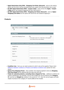- **Apply Restrictions Only With Shopping Cart Rules (discount)** same as the setting above, but this time it will be activated when any coupon from the promotion rule is used.
- **Do NOT Apply Restrictions With Coupon Codes** works almost like **Apply Coupon Codes** above, but instead of applying the rule it will cancel it.
- **Do NOT Apply Restrictions With Shopping Cart Rules (discount)** same as **Apply - Shopping Cart Rules** but this option will cancel the rule instead of applying it.

#### **Products**

| Select products or leave blank for all products                 |                                                                                                                             |
|-----------------------------------------------------------------|-----------------------------------------------------------------------------------------------------------------------------|
| If ALL of these conditions are TRUE :<br>$\bf \bf \Theta$       |                                                                                                                             |
| <b>Free Shipping</b>                                            |                                                                                                                             |
| Ignore Free Shipping Promo                                      | No<br>$\checkmark$<br>A If the option is set to 'No', totals below will be applied<br>only to items with non-free shipping. |
| Totals for selected products, excluding items shipped for free. |                                                                                                                             |
| Weight From                                                     |                                                                                                                             |
| Weight To                                                       |                                                                                                                             |
| Qty From                                                        |                                                                                                                             |
| Qty To                                                          |                                                                                                                             |
| <b>Price From</b>                                               |                                                                                                                             |
| Price To                                                        | A Original product cart price, without discounts.<br>A Original product cart price, without discounts.                      |

- **Condition tree** here you can select products to which rules will be applied. Please check [Difference between conditions on Products and Address Conditions tabs](#page-2-0) section for more details.
- **Ignore Free Shipping Promo** when enabled, free shipping applied to items by **Shopping Cart Price Rules** will be replaced with the rates from the rule.
- **Totals for selected products, excluding items shipped for free.** additional conditions for product subselection. For example, if you've set to apply the rule on products from **Category 47**, and then set **Weight to** condition in this section to "10", then the rule will apply until total weight of products from category 47 reaches **10** and then disable.

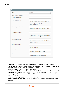#### **Rates**



- **Calculation** can be set to **Replace** which **replaces** the shipping rate with a new value, **Surcharge** which **adds** a calculated value on top of existing shipping rate, and **Discount** which **subtracts** calculated value from the existing shipping rate.
- **Base Rate for the Order** rate for the whole order.
- **Fixed Rate per Product** rate, which will be multiplied by the quantity of products in the cart.
- **Rate per unit of weight** rate, which will be multiplied by the weight of products in the cart.
- **Percentage per Product** rate, which is calculated as a percentage of the price sum of products in the cart.
- **Handling Percentage** percentage of the original shipping rate.
- **Minimal\Maximal rate change** minimal or maximal value by which the original rate can be changed.